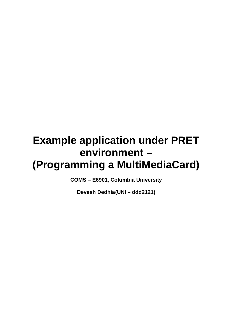# **Example application under PRET environment – (Programming a MultiMediaCard)**

**COMS – E6901, Columbia University** 

**Devesh Dedhia (UNI – ddd2121)**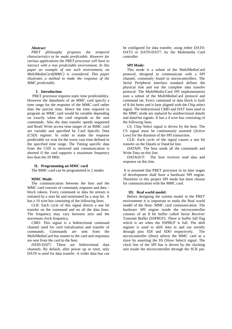#### **Abstract**

*PRET philosophy proposes the temporal characteristics to be made predictable. However for various applications the PRET processor will have to interact with a non predictable environment. In this paper an example of one such environment, an MultiMediaCard(MMC) is considered. This paper illustrates a method to make the response of the MMC predictable.* 

# **I. Introduction**

PRET processor requires static time predictability. However the datasheets of an MMC card specify a time range for the response of the MMC card rather than the precise time. Hence the time required to program an MMC card would be variable depending on exactly when the card responds to the sent commands. Also the data transfer speeds supported and Read/ Write access time ranges of an MMC card are variable and specified by Card Specific Data (CSD) register. In order to make the response predictable we wait for the worst case time defined in the specified time range. The Timing specific data from the CSD is retrieved and communication is aborted if the card supports a maximum frequency less than the 20 MHz

# **II. Programming an MMC card**

The MMC card can be programmed in 2 modes

#### **MMC Mode**:

The communication between the host and the MMC card consists of command, response and data – block tokens. Every command or data bit stream is initiated by a start bit and terminated by a stop bit. It has a 10 wire bus consisting of the following lines.

*CLK*: Each cycle of this signal directs a one bit transfer on the command and on all the data lines. The frequency may vary between zero and the maximum clock frequency.

*CMD:* This signal is a bidirectional command channel used for card initialization and transfer of commands. Commands are sent from the MultiMediaCard bus master to the card and responses are sent from the card to the host.

*DAT0-DAT7:* These are bidirectional data channels. By default, after power up or reset, only DAT0 is used for data transfer. A wider data bus can

be configured for data transfer, using either DAT0- DAT3 or DAT0-DAT7, by the Multimedia Card controller.

#### **SPI Mode:**

This mode is a subset of the MultiMediaCard protocol, designed to communicate with a SPI channel, commonly found in microcontrollers. The Serial Peripheral Interface standard defines the physical link and not the complete data transfer protocol. The MultiMedia-Card SPI implementation uses a subset of the MultiMediaCard protocol and command set. Every command or data block is built of 8–bit bytes and is byte aligned with the Chip select signal. The bidirectional CMD and DAT lines used in the MMC mode are replaced by unidirectional *dataIn*  and *dataOut* signals. It has a 4 wire bus consisting of the following lines.

*CS:* Chip Select signal is driven by the host. The CS signal must be continuously asserted (Active Low) for the duration of the SPI transaction.

*CLK:* Each cycle of the signal causes a one bit transfer on the DataIn or DataOut line.

*DATAIN:* The host sends all the commands and Write Data on this line.

*DATAOUT:* The host receives read data and response on this line.

 It is assumed that PRET processor in its later stages of development shall have a hardware SPI engine. Therefore in this project SPI mode has been chosen for communication with the MMC card.

#### **III. Real world model:**

Before designing the system model in the PRET environment it is important to study the Real world model of the Host- MMC card communication. The hardware SPI engine inside the microcontroller consists of an 8 bit buffer called Serial Receive/ Transmit Buffer (SSPBUF). There is buffer full flag which is set when the SSPBUF is full. The shift register is used to shift data in and out serially through pins SDI and SDO respectively. The microcontroller (Host) selects the MMC card as a slave by asserting the SS (Slave Select) signal. The clock line of the SPI bus is driven by the clocking unit inside the microcontroller through the SCK pin.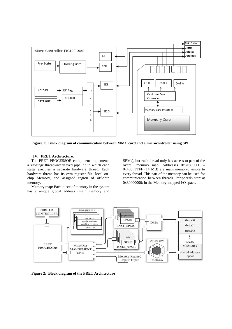

**Figure 1: Block diagram of communication between MMC card and a microcontroller using SPI** 

# **IV. PRET Architecture:**

The PRET PROCESSOR component implements a six-stage thread-interleaved pipeline in which each stage executes a separate hardware thread. Each hardware thread has its own register file, local onchip Memory, and assigned region of off-chip memory.

Memory map: Each piece of memory in the system has a unique global address (main memory and SPMs), but each thread only has access to part of the overall memory map. Addresses 0x3F800000 – 0x405FFFFF (14 MB) are main memory, visible to every thread. This part of the memory can be used for communication between threads. Peripherals start at  $0x80000000$ ; in the Memory-mapped I/O space.



**Figure 2: Block diagram of the PRET Architecture**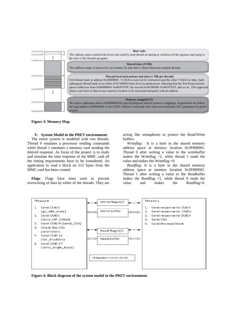

**Figure 3: Memory Map** 

#### **V. System Model in the PRET environment:**

The entire system is modeled with two threads. Thread 0 emulates a processor sending commands while thread 1 emulates a memory card sending the desired response. As focus of the project is to study and simulate the time response of the MMC card all the timing requirements have to be considered. An application to read a block on 512 bytes from the MMC card has been created.

**Flags**: Flags have been used to prevent overwriting of data by either of the threads. They are

acting like semaphores to protect the Read/Write buffers.

*Writeflag*: It is a byte in the shared memory address space at memory location 0x3F800001. Thread 0 after writing a value to the writebuffer makes the Writeflag  $=1$ , while thread 1 reads the value and makes the Writeflag =0.

*Readflag*: It is a byte in the shared memory address space at memory location 0x3F800002. Thread 1 after writing a value to the Readbuffer makes the Readflag  $=1$ , while thread 0 reads the value and makes the Readflag=0.



**Figure 4: Block diagram of the system model in the PRET environment.**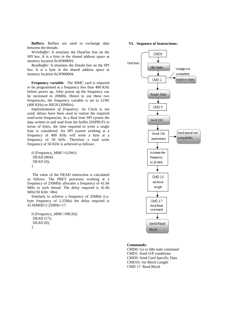**Buffers:** Buffers are used to exchange data between the threads.

*Writebuffer*: It emulates the DataOut line on the SPI bus. It is a byte in the shared address space at memory location 0x3F800003.

*Readbuffer:* It emulates the DataIn line on the SPI bus. It is a byte in the shared address space at memory location 0x3F800004.

**Frequency variable**: The MMC card is required to be programmed at a frequency less than 400 KHz before power up. After power up the frequency can be increased to 20MHz. Hence to use these two frequencies, the frequency variable is set to LOW (400 KHz) or HIGH (20MHz).

*Implementation of frequency:* As Clock is not used; delays have been used to realize the required read/write frequencies. In a Real time SPI system the data written in and read from the buffer (SSPBUF) in terms of bytes, the time required to write a single byte is considered. An SPI system working at a frequency of 400 KHz will write a byte at a frequency of 50 KHz. Therefore a read write frequency of 50 KHz is achieved as follows.

```
if (Frequency_MMC=LOW){ 
 DEAD (864); 
DEAD(0);}
```
 The value of the DEAD instruction is calculated as follows. The PRET processor working at a frequency of 250MHz allocates a frequency of 41.66 MHz to each thread. The delay required is 41.66 MHz/50 KHz ≈864.

Similarly to achieve a frequency of 20MHz (i.e. byte frequency of 2.25Mz) the delay required is 41.66MHZ/2.25MHz≈17.

if (Frequency\_MMC=HIGH){ DEAD (17);  $DEAD(0);$ }

#### **VI. Sequence of Instructions:**



#### **Commands:**

CMD0: Go to Idle state command CMD1: Send O/P conditions CMD9: Send Card Specific Data CMD16: Set Block Length CMD 17: Read Block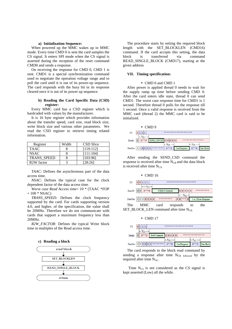#### **a) Initialization Sequence:**

When powered up the MMC wakes up in MMC mode. Every time CMD 0 is sent the card samples the CS signal. It enters SPI mode when the CS signal is asserted during the reception of the reset command CMD0 and sends a response.

On receiving the response for CMD 0, CMD 1 is sent. CMD1 is a special synchronization command used to negotiate the operation voltage range and to poll the card until it is out of its power-up sequence. The card responds with the busy bit in its response cleared once it is out of its power up sequence.

#### **b) Reading the Card Specific Data (CSD) register:**

Every MMC card has a CSD register which is hardcoded with values by the manufacturer.

It is 16 byte register which provides information about the transfer speed, card size, read block size, write block size and various other parameters. We read the CSD register to retrieve timing related information.

| Register                | Width | CSD Slice |
|-------------------------|-------|-----------|
| <b>TAAC</b>             |       | [119:112] |
| <b>NSAC</b>             |       | [111:104] |
| <b>TRANS SPEED</b>      |       | [103:96]  |
| R <sub>2</sub> W factor |       | [28:26]   |

*TAAC:* Defines the asynchronous part of the data access time.

*NSAC:* Defines the typical case for the clock dependent factor of the data access time.

*Worst case Read Access time*= 10 \* (TAAC \*FOP  $+ 100 * NSAC$ 

*TRANS\_SPEED:* Defines the clock frequency supported by the card. For cards supporting version 4.0, and higher, of the specification, the value shall be 20MHz. Therefore we do not communicate with cards that support a maximum frequency less than 20MHz.

*R2W\_FACTOR:* Defines the typical Write block time in multiples of the Read access time.





The procedure starts by setting the required block length with the SET\_BLOCKLEN (CMD16) command. If the card accepts this setting, the data block is transferred via command READ\_SINGLE\_BLOCK (CMD17), starting at the given address

# **VII. Timing specification:**

#### • CMD 0 and CMD 1

After power is applied thread 0 needs to wait for the supply ramp up time before sending CMD 0. After the card enters idle state, thread 0 can send CMD1. The worst case response time for CMD1 is 1 second. Therefore thread 0 polls for the response till 1 second. Once a valid response is received from the MMC card (thread 2) the MMC card is said to be initialized.



After sending the SEND\_CSD command the response is received after time  $N_{CR}$  and the data block is received after time  $N_{CX}$ .



#### • CMD 17



The card responds to the block read command by sending a response after time  $N_{CR}$  followed by the required after time  $N_{AC}$ 

Time  $N_{CS}$  is not considered as the CS signal is kept asserted (Low) all the while.